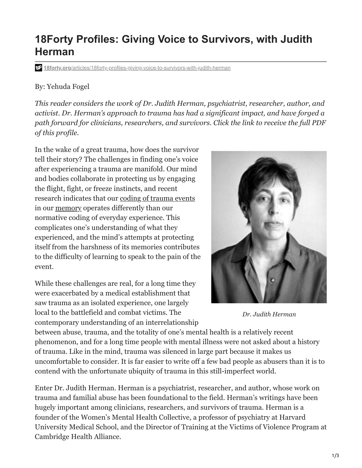### 1/3

## **18Forty Profiles: Giving Voice to Survivors, with Judith Herman**

**18forty.org**[/articles/18forty-profiles-giving-voice-to-survivors-with-judith-herman](https://18forty.org/articles/18forty-profiles-giving-voice-to-survivors-with-judith-herman/)

### By: Yehuda Fogel

*This reader considers the work of Dr. Judith Herman, psychiatrist, researcher, author, and activist. Dr. Herman's approach to trauma has had a significant impact, and have forged a path forward for clinicians, researchers, and survivors. Click the link to receive the full PDF of this profile.* 

In the wake of a great trauma, how does the survivor tell their story? The challenges in finding one's voice after experiencing a trauma are manifold. Our mind and bodies collaborate in protecting us by engaging the flight, fight, or freeze instincts, and recent research indicates that our [coding of trauma events](https://www.naadac.org/assets/2416/2019NWRC_Michael_Bricker_Handout4.pdf) in our [memory](https://www.ojp.gov/ncjrs/virtual-library/abstracts/normal-memory-versus-traumatic-memory-formation-does-traumatic) operates differently than our normative coding of everyday experience. This complicates one's understanding of what they experienced, and the mind's attempts at protecting itself from the harshness of its memories contributes to the difficulty of learning to speak to the pain of the event.

While these challenges are real, for a long time they were exacerbated by a medical establishment that saw trauma as an isolated experience, one largely local to the battlefield and combat victims. The contemporary understanding of an interrelationship

between abuse, trauma, and the totality of one's mental health is a relatively recent phenomenon, and for a long time people with mental illness were not asked about a history of trauma. Like in the mind, trauma was silenced in large part because it makes us uncomfortable to consider. It is far easier to write off a few bad people as abusers than it is to contend with the unfortunate ubiquity of trauma in this still-imperfect world.

Enter Dr. Judith Herman. Herman is a psychiatrist, researcher, and author, whose work on trauma and familial abuse has been foundational to the field. Herman's writings have been hugely important among clinicians, researchers, and survivors of trauma. Herman is a founder of the Women's Mental Health Collective, a professor of psychiatry at Harvard University Medical School, and the Director of Training at the Victims of Violence Program at Cambridge Health Alliance.

*Dr. Judith Herman*

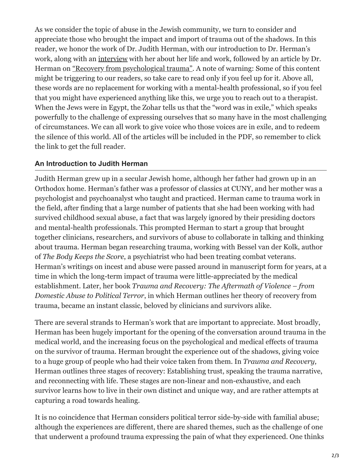As we consider the topic of abuse in the Jewish community, we turn to consider and appreciate those who brought the impact and import of trauma out of the shadows. In this reader, we honor the work of Dr. Judith Herman, with our introduction to Dr. Herman's work, along with an [interview](http://globetrotter.berkeley.edu/people/Herman/herman-con0.html) with her about her life and work, followed by an article by Dr. Herman on ["Recovery from psychological trauma".](https://onlinelibrary.wiley.com/doi/full/10.1046/j.1440-1819.1998.0520s5S145.x) A note of warning: Some of this content might be triggering to our readers, so take care to read only if you feel up for it. Above all, these words are no replacement for working with a mental-health professional, so if you feel that you might have experienced anything like this, we urge you to reach out to a therapist. When the Jews were in Egypt, the Zohar tells us that the "word was in exile," which speaks powerfully to the challenge of expressing ourselves that so many have in the most challenging of circumstances. We can all work to give voice who those voices are in exile, and to redeem the silence of this world. All of the articles will be included in the PDF, so remember to click the link to get the full reader.

#### **An Introduction to Judith Herman**

Judith Herman grew up in a secular Jewish home, although her father had grown up in an Orthodox home. Herman's father was a professor of classics at CUNY, and her mother was a psychologist and psychoanalyst who taught and practiced. Herman came to trauma work in the field, after finding that a large number of patients that she had been working with had survived childhood sexual abuse, a fact that was largely ignored by their presiding doctors and mental-health professionals. This prompted Herman to start a group that brought together clinicians, researchers, and survivors of abuse to collaborate in talking and thinking about trauma. Herman began researching trauma, working with Bessel van der Kolk, author of *The Body Keeps the Score*, a psychiatrist who had been treating combat veterans. Herman's writings on incest and abuse were passed around in manuscript form for years, at a time in which the long-term impact of trauma were little-appreciated by the medical establishment. Later, her book *Trauma and Recovery: The Aftermath of Violence – from Domestic Abuse to Political Terror*, in which Herman outlines her theory of recovery from trauma, became an instant classic, beloved by clinicians and survivors alike.

There are several strands to Herman's work that are important to appreciate. Most broadly, Herman has been hugely important for the opening of the conversation around trauma in the medical world, and the increasing focus on the psychological and medical effects of trauma on the survivor of trauma. Herman brought the experience out of the shadows, giving voice to a huge group of people who had their voice taken from them. In *Trauma and Recovery,* Herman outlines three stages of recovery: Establishing trust, speaking the trauma narrative, and reconnecting with life. These stages are non-linear and non-exhaustive, and each survivor learns how to live in their own distinct and unique way, and are rather attempts at capturing a road towards healing.

It is no coincidence that Herman considers political terror side-by-side with familial abuse; although the experiences are different, there are shared themes, such as the challenge of one that underwent a profound trauma expressing the pain of what they experienced. One thinks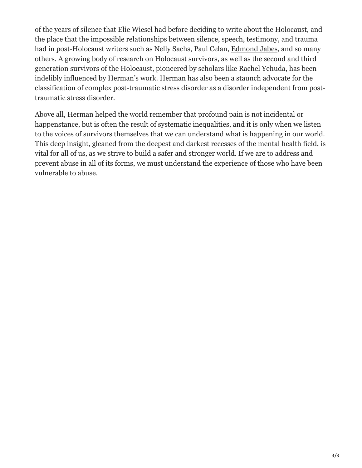of the years of silence that Elie Wiesel had before deciding to write about the Holocaust, and the place that the impossible relationships between silence, speech, testimony, and trauma had in post-Holocaust writers such as Nelly Sachs, Paul Celan, [Edmond Jabes,](https://18forty.org/articles/18forty-profiles-the-questions-of-edmond-jabes/) and so many others. A growing body of research on Holocaust survivors, as well as the second and third generation survivors of the Holocaust, pioneered by scholars like Rachel Yehuda, has been indelibly influenced by Herman's work. Herman has also been a staunch advocate for the classification of complex post-traumatic stress disorder as a disorder independent from posttraumatic stress disorder.

Above all, Herman helped the world remember that profound pain is not incidental or happenstance, but is often the result of systematic inequalities, and it is only when we listen to the voices of survivors themselves that we can understand what is happening in our world. This deep insight, gleaned from the deepest and darkest recesses of the mental health field, is vital for all of us, as we strive to build a safer and stronger world. If we are to address and prevent abuse in all of its forms, we must understand the experience of those who have been vulnerable to abuse.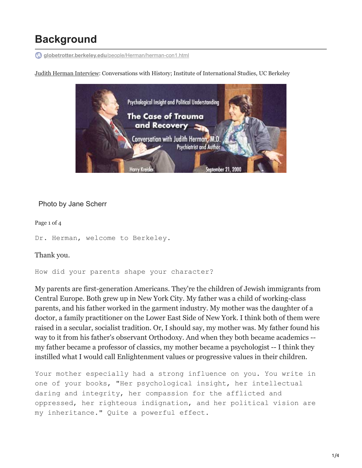# **Background**

**globetrotter.berkeley.edu**[/people/Herman/herman-con1.html](http://globetrotter.berkeley.edu/people/Herman/herman-con1.html)

Judith Herman [Interview](http://globetrotter.berkeley.edu/people/Herman/herman-con0.html): Conversations with History; Institute of International Studies, UC Berkeley



#### Photo by Jane Scherr

Page 1 of 4

Dr. Herman, welcome to Berkeley.

Thank you.

How did your parents shape your character?

My parents are first-generation Americans. They're the children of Jewish immigrants from Central Europe. Both grew up in New York City. My father was a child of working-class parents, and his father worked in the garment industry. My mother was the daughter of a doctor, a family practitioner on the Lower East Side of New York. I think both of them were raised in a secular, socialist tradition. Or, I should say, my mother was. My father found his way to it from his father's observant Orthodoxy. And when they both became academics - my father became a professor of classics, my mother became a psychologist -- I think they instilled what I would call Enlightenment values or progressive values in their children.

Your mother especially had a strong influence on you. You write in one of your books, "Her psychological insight, her intellectual daring and integrity, her compassion for the afflicted and oppressed, her righteous indignation, and her political vision are my inheritance." Quite a powerful effect.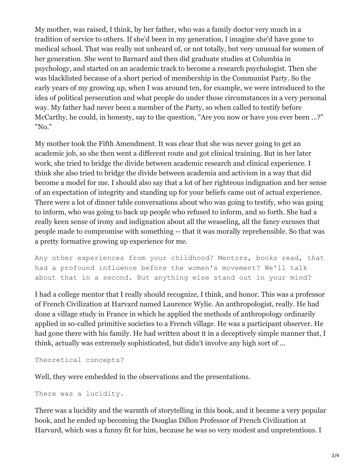My mother, was raised, I think, by her father, who was a family doctor very much in a tradition of service to others. If she'd been in my generation, I imagine she'd have gone to medical school. That was really not unheard of, or not totally, but very unusual for women of her generation. She went to Barnard and then did graduate studies at Columbia in psychology, and started on an academic track to become a research psychologist. Then she was blacklisted because of a short period of membership in the Communist Party. So the early years of my growing up, when I was around ten, for example, we were introduced to the idea of political persecution and what people do under those circumstances in a very personal way. My father had never been a member of the Party, so when called to testify before McCarthy, he could, in honesty, say to the question, "Are you now or have you ever been ...?" "No."

My mother took the Fifth Amendment. It was clear that she was never going to get an academic job, so she then went a different route and got clinical training. But in her later work, she tried to bridge the divide between academic research and clinical experience. I think she also tried to bridge the divide between academia and activism in a way that did become a model for me. I should also say that a lot of her righteous indignation and her sense of an expectation of integrity and standing up for your beliefs came out of actual experience. There were a lot of dinner table conversations about who was going to testify, who was going to inform, who was going to back up people who refused to inform, and so forth. She had a really keen sense of irony and indignation about all the weaseling, all the fancy excuses that people made to compromise with something -- that it was morally reprehensible. So that was a pretty formative growing up experience for me.

Any other experiences from your childhood? Mentors, books read, that had a profound influence before the women's movement? We'll talk about that in a second. But anything else stand out in your mind?

I had a college mentor that I really should recognize, I think, and honor. This was a professor of French Civilization at Harvard named Laurence Wylie. An anthropologist, really. He had done a village study in France in which he applied the methods of anthropology ordinarily applied in so-called primitive societies to a French village. He was a participant observer. He had gone there with his family. He had written about it in a deceptively simple manner that, I think, actually was extremely sophisticated, but didn't involve any high sort of ...

```
Theoretical concepts?
```
Well, they were embedded in the observations and the presentations.

```
There was a lucidity.
```
There was a lucidity and the warmth of storytelling in this book, and it became a very popular book, and he ended up becoming the Douglas Dillon Professor of French Civilization at Harvard, which was a funny fit for him, because he was so very modest and unpretentious. I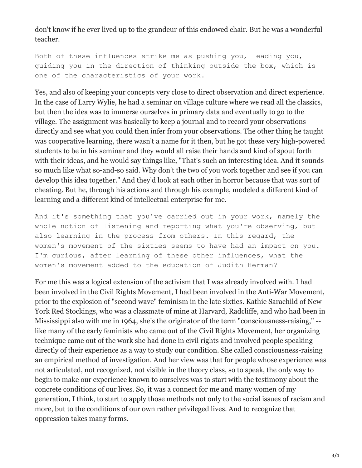don't know if he ever lived up to the grandeur of this endowed chair. But he was a wonderful teacher.

Both of these influences strike me as pushing you, leading you, guiding you in the direction of thinking outside the box, which is one of the characteristics of your work.

Yes, and also of keeping your concepts very close to direct observation and direct experience. In the case of Larry Wylie, he had a seminar on village culture where we read all the classics, but then the idea was to immerse ourselves in primary data and eventually to go to the village. The assignment was basically to keep a journal and to record your observations directly and see what you could then infer from your observations. The other thing he taught was cooperative learning, there wasn't a name for it then, but he got these very high-powered students to be in his seminar and they would all raise their hands and kind of spout forth with their ideas, and he would say things like, "That's such an interesting idea. And it sounds so much like what so-and-so said. Why don't the two of you work together and see if you can develop this idea together." And they'd look at each other in horror because that was sort of cheating. But he, through his actions and through his example, modeled a different kind of learning and a different kind of intellectual enterprise for me.

And it's something that you've carried out in your work, namely the whole notion of listening and reporting what you're observing, but also learning in the process from others. In this regard, the women's movement of the sixties seems to have had an impact on you. I'm curious, after learning of these other influences, what the women's movement added to the education of Judith Herman?

For me this was a logical extension of the activism that I was already involved with. I had been involved in the Civil Rights Movement, I had been involved in the Anti-War Movement, prior to the explosion of "second wave" feminism in the late sixties. Kathie Sarachild of New York Red Stockings, who was a classmate of mine at Harvard, Radcliffe, and who had been in Mississippi also with me in 1964, she's the originator of the term "consciousness-raising," - like many of the early feminists who came out of the Civil Rights Movement, her organizing technique came out of the work she had done in civil rights and involved people speaking directly of their experience as a way to study our condition. She called consciousness-raising an empirical method of investigation. And her view was that for people whose experience was not articulated, not recognized, not visible in the theory class, so to speak, the only way to begin to make our experience known to ourselves was to start with the testimony about the concrete conditions of our lives. So, it was a connect for me and many women of my generation, I think, to start to apply those methods not only to the social issues of racism and more, but to the conditions of our own rather privileged lives. And to recognize that oppression takes many forms.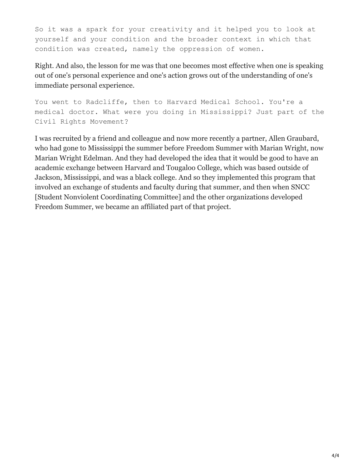So it was a spark for your creativity and it helped you to look at yourself and your condition and the broader context in which that condition was created, namely the oppression of women.

Right. And also, the lesson for me was that one becomes most effective when one is speaking out of one's personal experience and one's action grows out of the understanding of one's immediate personal experience.

You went to Radcliffe, then to Harvard Medical School. You're a medical doctor. What were you doing in Mississippi? Just part of the Civil Rights Movement?

I was recruited by a friend and colleague and now more recently a partner, Allen Graubard, who had gone to Mississippi the summer before Freedom Summer with Marian Wright, now Marian Wright Edelman. And they had developed the idea that it would be good to have an academic exchange between Harvard and Tougaloo College, which was based outside of Jackson, Mississippi, and was a black college. And so they implemented this program that involved an exchange of students and faculty during that summer, and then when SNCC [Student Nonviolent Coordinating Committee] and the other organizations developed Freedom Summer, we became an affiliated part of that project.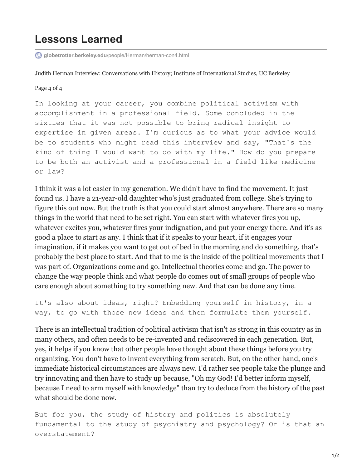### **Lessons Learned**

**globetrotter.berkeley.edu**[/people/Herman/herman-con4.html](http://globetrotter.berkeley.edu/people/Herman/herman-con4.html)

Judith Herman [Interview](http://globetrotter.berkeley.edu/people/Herman/herman-con0.html): Conversations with History; Institute of International Studies, UC Berkeley

Page 4 of 4

In looking at your career, you combine political activism with accomplishment in a professional field. Some concluded in the sixties that it was not possible to bring radical insight to expertise in given areas. I'm curious as to what your advice would be to students who might read this interview and say, "That's the kind of thing I would want to do with my life." How do you prepare to be both an activist and a professional in a field like medicine or law?

I think it was a lot easier in my generation. We didn't have to find the movement. It just found us. I have a 21-year-old daughter who's just graduated from college. She's trying to figure this out now. But the truth is that you could start almost anywhere. There are so many things in the world that need to be set right. You can start with whatever fires you up, whatever excites you, whatever fires your indignation, and put your energy there. And it's as good a place to start as any. I think that if it speaks to your heart, if it engages your imagination, if it makes you want to get out of bed in the morning and do something, that's probably the best place to start. And that to me is the inside of the political movements that I was part of. Organizations come and go. Intellectual theories come and go. The power to change the way people think and what people do comes out of small groups of people who care enough about something to try something new. And that can be done any time.

It's also about ideas, right? Embedding yourself in history, in a way, to go with those new ideas and then formulate them yourself.

There is an intellectual tradition of political activism that isn't as strong in this country as in many others, and often needs to be re-invented and rediscovered in each generation. But, yes, it helps if you know that other people have thought about these things before you try organizing. You don't have to invent everything from scratch. But, on the other hand, one's immediate historical circumstances are always new. I'd rather see people take the plunge and try innovating and then have to study up because, "Oh my God! I'd better inform myself, because I need to arm myself with knowledge" than try to deduce from the history of the past what should be done now.

But for you, the study of history and politics is absolutely fundamental to the study of psychiatry and psychology? Or is that an overstatement?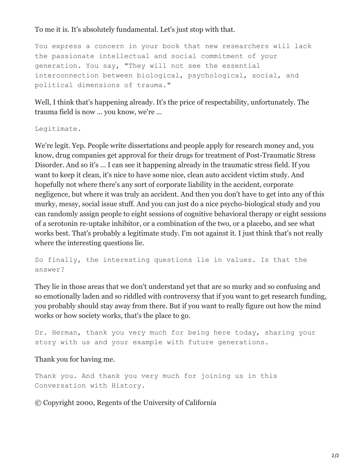To me it is. It's absolutely fundamental. Let's just stop with that.

You express a concern in your book that new researchers will lack the passionate intellectual and social commitment of your generation. You say, "They will not see the essential interconnection between biological, psychological, social, and political dimensions of trauma."

Well, I think that's happening already. It's the price of respectability, unfortunately. The trauma field is now ... you know, we're ...

Legitimate.

We're legit. Yep. People write dissertations and people apply for research money and, you know, drug companies get approval for their drugs for treatment of Post-Traumatic Stress Disorder. And so it's ... I can see it happening already in the traumatic stress field. If you want to keep it clean, it's nice to have some nice, clean auto accident victim study. And hopefully not where there's any sort of corporate liability in the accident, corporate negligence, but where it was truly an accident. And then you don't have to get into any of this murky, messy, social issue stuff. And you can just do a nice psycho-biological study and you can randomly assign people to eight sessions of cognitive behavioral therapy or eight sessions of a serotonin re-uptake inhibitor, or a combination of the two, or a placebo, and see what works best. That's probably a legitimate study. I'm not against it. I just think that's not really where the interesting questions lie.

So finally, the interesting questions lie in values. Is that the answer?

They lie in those areas that we don't understand yet that are so murky and so confusing and so emotionally laden and so riddled with controversy that if you want to get research funding, you probably should stay away from there. But if you want to really figure out how the mind works or how society works, that's the place to go.

Dr. Herman, thank you very much for being here today, sharing your story with us and your example with future generations.

#### Thank you for having me.

Thank you. And thank you very much for joining us in this Conversation with History.

© Copyright 2000, Regents of the University of California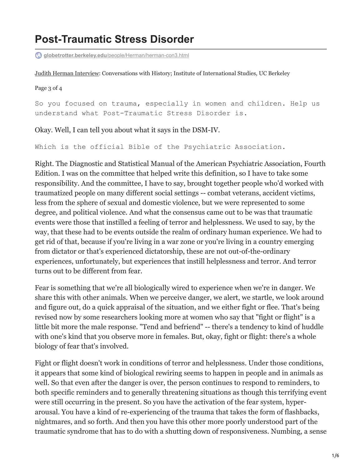## **Post-Traumatic Stress Disorder**

**globetrotter.berkeley.edu**[/people/Herman/herman-con3.html](http://globetrotter.berkeley.edu/people/Herman/herman-con3.html)

Judith Herman [Interview](http://globetrotter.berkeley.edu/people/Herman/herman-con0.html): Conversations with History; Institute of International Studies, UC Berkeley

Page 3 of 4

So you focused on trauma, especially in women and children. Help us understand what Post-Traumatic Stress Disorder is.

Okay. Well, I can tell you about what it says in the DSM-IV.

Which is the official Bible of the Psychiatric Association.

Right. The Diagnostic and Statistical Manual of the American Psychiatric Association, Fourth Edition. I was on the committee that helped write this definition, so I have to take some responsibility. And the committee, I have to say, brought together people who'd worked with traumatized people on many different social settings -- combat veterans, accident victims, less from the sphere of sexual and domestic violence, but we were represented to some degree, and political violence. And what the consensus came out to be was that traumatic events were those that instilled a feeling of terror and helplessness. We used to say, by the way, that these had to be events outside the realm of ordinary human experience. We had to get rid of that, because if you're living in a war zone or you're living in a country emerging from dictator or that's experienced dictatorship, these are not out-of-the-ordinary experiences, unfortunately, but experiences that instill helplessness and terror. And terror turns out to be different from fear.

Fear is something that we're all biologically wired to experience when we're in danger. We share this with other animals. When we perceive danger, we alert, we startle, we look around and figure out, do a quick appraisal of the situation, and we either fight or flee. That's being revised now by some researchers looking more at women who say that "fight or flight" is a little bit more the male response. "Tend and befriend" -- there's a tendency to kind of huddle with one's kind that you observe more in females. But, okay, fight or flight: there's a whole biology of fear that's involved.

Fight or flight doesn't work in conditions of terror and helplessness. Under those conditions, it appears that some kind of biological rewiring seems to happen in people and in animals as well. So that even after the danger is over, the person continues to respond to reminders, to both specific reminders and to generally threatening situations as though this terrifying event were still occurring in the present. So you have the activation of the fear system, hyperarousal. You have a kind of re-experiencing of the trauma that takes the form of flashbacks, nightmares, and so forth. And then you have this other more poorly understood part of the traumatic syndrome that has to do with a shutting down of responsiveness. Numbing, a sense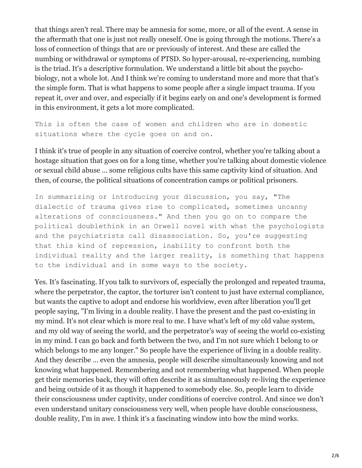that things aren't real. There may be amnesia for some, more, or all of the event. A sense in the aftermath that one is just not really oneself. One is going through the motions. There's a loss of connection of things that are or previously of interest. And these are called the numbing or withdrawal or symptoms of PTSD. So hyper-arousal, re-experiencing, numbing is the triad. It's a descriptive formulation. We understand a little bit about the psychobiology, not a whole lot. And I think we're coming to understand more and more that that's the simple form. That is what happens to some people after a single impact trauma. If you repeat it, over and over, and especially if it begins early on and one's development is formed in this environment, it gets a lot more complicated.

This is often the case of women and children who are in domestic situations where the cycle goes on and on.

I think it's true of people in any situation of coercive control, whether you're talking about a hostage situation that goes on for a long time, whether you're talking about domestic violence or sexual child abuse ... some religious cults have this same captivity kind of situation. And then, of course, the political situations of concentration camps or political prisoners.

In summarizing or introducing your discussion, you say, "The dialectic of trauma gives rise to complicated, sometimes uncanny alterations of consciousness." And then you go on to compare the political doublethink in an Orwell novel with what the psychologists and the psychiatrists call disassociation. So, you're suggesting that this kind of repression, inability to confront both the individual reality and the larger reality, is something that happens to the individual and in some ways to the society.

Yes. It's fascinating. If you talk to survivors of, especially the prolonged and repeated trauma, where the perpetrator, the captor, the torturer isn't content to just have external compliance, but wants the captive to adopt and endorse his worldview, even after liberation you'll get people saying, "I'm living in a double reality. I have the present and the past co-existing in my mind. It's not clear which is more real to me. I have what's left of my old value system, and my old way of seeing the world, and the perpetrator's way of seeing the world co-existing in my mind. I can go back and forth between the two, and I'm not sure which I belong to or which belongs to me any longer." So people have the experience of living in a double reality. And they describe ... even the amnesia, people will describe simultaneously knowing and not knowing what happened. Remembering and not remembering what happened. When people get their memories back, they will often describe it as simultaneously re-living the experience and being outside of it as though it happened to somebody else. So, people learn to divide their consciousness under captivity, under conditions of coercive control. And since we don't even understand unitary consciousness very well, when people have double consciousness, double reality, I'm in awe. I think it's a fascinating window into how the mind works.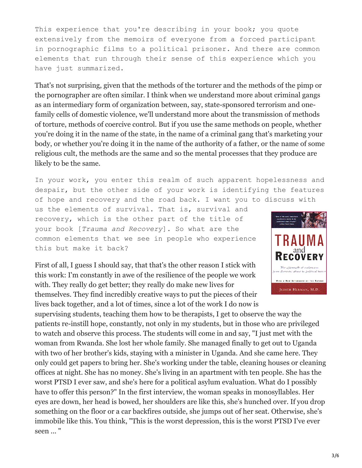This experience that you're describing in your book; you quote extensively from the memoirs of everyone from a forced participant in pornographic films to a political prisoner. And there are common elements that run through their sense of this experience which you have just summarized.

That's not surprising, given that the methods of the torturer and the methods of the pimp or the pornographer are often similar. I think when we understand more about criminal gangs as an intermediary form of organization between, say, state-sponsored terrorism and onefamily cells of domestic violence, we'll understand more about the transmission of methods of torture, methods of coercive control. But if you use the same methods on people, whether you're doing it in the name of the state, in the name of a criminal gang that's marketing your body, or whether you're doing it in the name of the authority of a father, or the name of some religious cult, the methods are the same and so the mental processes that they produce are likely to be the same.

In your work, you enter this realm of such apparent hopelessness and despair, but the other side of your work is identifying the features of hope and recovery and the road back. I want you to discuss with

us the elements of survival. That is, survival and recovery, which is the other part of the title of your book [*Trauma and Recovery*]. So what are the common elements that we see in people who experience this but make it back?

First of all, I guess I should say, that that's the other reason I stick with this work: I'm constantly in awe of the resilience of the people we work with. They really do get better; they really do make new lives for themselves. They find incredibly creative ways to put the pieces of their lives back together, and a lot of times, since a lot of the work I do now is



supervising students, teaching them how to be therapists, I get to observe the way the patients re-instill hope, constantly, not only in my students, but in those who are privileged to watch and observe this process. The students will come in and say, "I just met with the woman from Rwanda. She lost her whole family. She managed finally to get out to Uganda with two of her brother's kids, staying with a minister in Uganda. And she came here. They only could get papers to bring her. She's working under the table, cleaning houses or cleaning offices at night. She has no money. She's living in an apartment with ten people. She has the worst PTSD I ever saw, and she's here for a political asylum evaluation. What do I possibly have to offer this person?" In the first interview, the woman speaks in monosyllables. Her eyes are down, her head is bowed, her shoulders are like this, she's hunched over. If you drop something on the floor or a car backfires outside, she jumps out of her seat. Otherwise, she's immobile like this. You think, "This is the worst depression, this is the worst PTSD I've ever seen ... "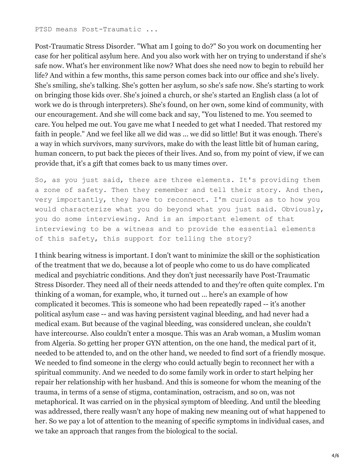Post-Traumatic Stress Disorder. "What am I going to do?" So you work on documenting her case for her political asylum here. And you also work with her on trying to understand if she's safe now. What's her environment like now? What does she need now to begin to rebuild her life? And within a few months, this same person comes back into our office and she's lively. She's smiling, she's talking. She's gotten her asylum, so she's safe now. She's starting to work on bringing those kids over. She's joined a church, or she's started an English class (a lot of work we do is through interpreters). She's found, on her own, some kind of community, with our encouragement. And she will come back and say, "You listened to me. You seemed to care. You helped me out. You gave me what I needed to get what I needed. That restored my faith in people." And we feel like all we did was ... we did so little! But it was enough. There's a way in which survivors, many survivors, make do with the least little bit of human caring, human concern, to put back the pieces of their lives. And so, from my point of view, if we can provide that, it's a gift that comes back to us many times over.

So, as you just said, there are three elements. It's providing them a zone of safety. Then they remember and tell their story. And then, very importantly, they have to reconnect. I'm curious as to how you would characterize what you do beyond what you just said. Obviously, you do some interviewing. And is an important element of that interviewing to be a witness and to provide the essential elements of this safety, this support for telling the story?

I think bearing witness is important. I don't want to minimize the skill or the sophistication of the treatment that we do, because a lot of people who come to us do have complicated medical and psychiatric conditions. And they don't just necessarily have Post-Traumatic Stress Disorder. They need all of their needs attended to and they're often quite complex. I'm thinking of a woman, for example, who, it turned out ... here's an example of how complicated it becomes. This is someone who had been repeatedly raped -- it's another political asylum case -- and was having persistent vaginal bleeding, and had never had a medical exam. But because of the vaginal bleeding, was considered unclean, she couldn't have intercourse. Also couldn't enter a mosque. This was an Arab woman, a Muslim woman from Algeria. So getting her proper GYN attention, on the one hand, the medical part of it, needed to be attended to, and on the other hand, we needed to find sort of a friendly mosque. We needed to find someone in the clergy who could actually begin to reconnect her with a spiritual community. And we needed to do some family work in order to start helping her repair her relationship with her husband. And this is someone for whom the meaning of the trauma, in terms of a sense of stigma, contamination, ostracism, and so on, was not metaphorical. It was carried on in the physical symptom of bleeding. And until the bleeding was addressed, there really wasn't any hope of making new meaning out of what happened to her. So we pay a lot of attention to the meaning of specific symptoms in individual cases, and we take an approach that ranges from the biological to the social.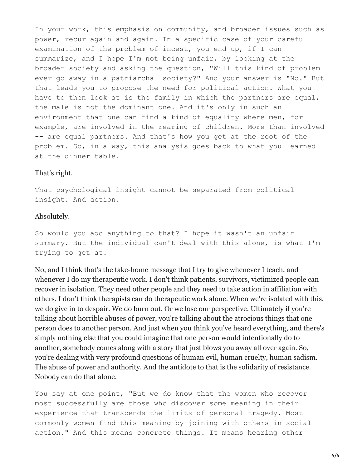In your work, this emphasis on community, and broader issues such as power, recur again and again. In a specific case of your careful examination of the problem of incest, you end up, if I can summarize, and I hope I'm not being unfair, by looking at the broader society and asking the question, "Will this kind of problem ever go away in a patriarchal society?" And your answer is "No." But that leads you to propose the need for political action. What you have to then look at is the family in which the partners are equal, the male is not the dominant one. And it's only in such an environment that one can find a kind of equality where men, for example, are involved in the rearing of children. More than involved -- are equal partners. And that's how you get at the root of the problem. So, in a way, this analysis goes back to what you learned at the dinner table.

#### That's right.

That psychological insight cannot be separated from political insight. And action.

#### Absolutely.

So would you add anything to that? I hope it wasn't an unfair summary. But the individual can't deal with this alone, is what I'm trying to get at.

No, and I think that's the take-home message that I try to give whenever I teach, and whenever I do my therapeutic work. I don't think patients, survivors, victimized people can recover in isolation. They need other people and they need to take action in affiliation with others. I don't think therapists can do therapeutic work alone. When we're isolated with this, we do give in to despair. We do burn out. Or we lose our perspective. Ultimately if you're talking about horrible abuses of power, you're talking about the atrocious things that one person does to another person. And just when you think you've heard everything, and there's simply nothing else that you could imagine that one person would intentionally do to another, somebody comes along with a story that just blows you away all over again. So, you're dealing with very profound questions of human evil, human cruelty, human sadism. The abuse of power and authority. And the antidote to that is the solidarity of resistance. Nobody can do that alone.

You say at one point, "But we do know that the women who recover most successfully are those who discover some meaning in their experience that transcends the limits of personal tragedy. Most commonly women find this meaning by joining with others in social action." And this means concrete things. It means hearing other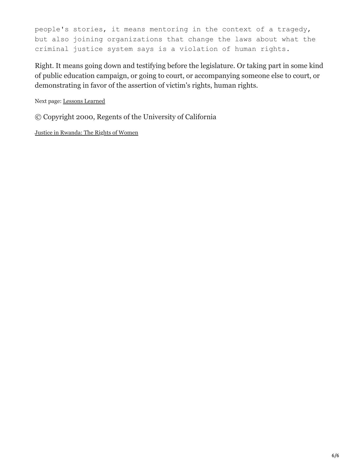people's stories, it means mentoring in the context of a tragedy, but also joining organizations that change the laws about what the criminal justice system says is a violation of human rights.

Right. It means going down and testifying before the legislature. Or taking part in some kind of public education campaign, or going to court, or accompanying someone else to court, or demonstrating in favor of the assertion of victim's rights, human rights.

Next page: Lessons [Learned](http://globetrotter.berkeley.edu/people/Herman/herman-con4.html)

© Copyright 2000, Regents of the University of California

Justice in [Rwanda:](http://globetrotter.berkeley.edu/people/Karekezi/karekezi-con.e0.html) The Rights of Women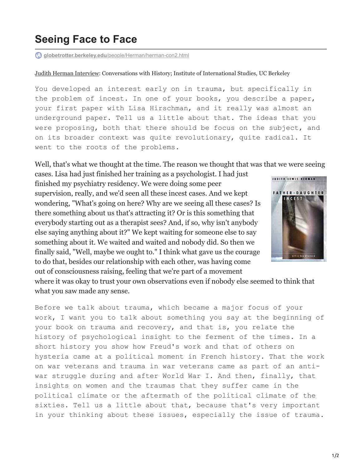## **Seeing Face to Face**

**globetrotter.berkeley.edu**[/people/Herman/herman-con2.html](http://globetrotter.berkeley.edu/people/Herman/herman-con2.html)

Judith Herman [Interview](http://globetrotter.berkeley.edu/people/Herman/herman-con0.html): Conversations with History; Institute of International Studies, UC Berkeley

You developed an interest early on in trauma, but specifically in the problem of incest. In one of your books, you describe a paper, your first paper with Lisa Hirschman, and it really was almost an underground paper. Tell us a little about that. The ideas that you were proposing, both that there should be focus on the subject, and on its broader context was quite revolutionary, quite radical. It went to the roots of the problems.

Well, that's what we thought at the time. The reason we thought that was that we were seeing

cases. Lisa had just finished her training as a psychologist. I had just finished my psychiatry residency. We were doing some peer supervision, really, and we'd seen all these incest cases. And we kept wondering, "What's going on here? Why are we seeing all these cases? Is there something about us that's attracting it? Or is this something that everybody starting out as a therapist sees? And, if so, why isn't anybody else saying anything about it?" We kept waiting for someone else to say something about it. We waited and waited and nobody did. So then we finally said, "Well, maybe we ought to." I think what gave us the courage to do that, besides our relationship with each other, was having come out of consciousness raising, feeling that we're part of a movement



where it was okay to trust your own observations even if nobody else seemed to think that what you saw made any sense.

Before we talk about trauma, which became a major focus of your work, I want you to talk about something you say at the beginning of your book on trauma and recovery, and that is, you relate the history of psychological insight to the ferment of the times. In a short history you show how Freud's work and that of others on hysteria came at a political moment in French history. That the work on war veterans and trauma in war veterans came as part of an antiwar struggle during and after World War I. And then, finally, that insights on women and the traumas that they suffer came in the political climate or the aftermath of the political climate of the sixties. Tell us a little about that, because that's very important in your thinking about these issues, especially the issue of trauma.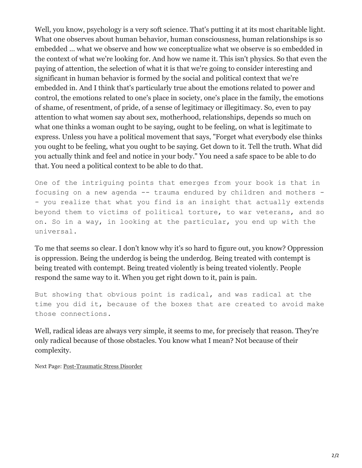Well, you know, psychology is a very soft science. That's putting it at its most charitable light. What one observes about human behavior, human consciousness, human relationships is so embedded ... what we observe and how we conceptualize what we observe is so embedded in the context of what we're looking for. And how we name it. This isn't physics. So that even the paying of attention, the selection of what it is that we're going to consider interesting and significant in human behavior is formed by the social and political context that we're embedded in. And I think that's particularly true about the emotions related to power and control, the emotions related to one's place in society, one's place in the family, the emotions of shame, of resentment, of pride, of a sense of legitimacy or illegitimacy. So, even to pay attention to what women say about sex, motherhood, relationships, depends so much on what one thinks a woman ought to be saying, ought to be feeling, on what is legitimate to express. Unless you have a political movement that says, "Forget what everybody else thinks you ought to be feeling, what you ought to be saying. Get down to it. Tell the truth. What did you actually think and feel and notice in your body." You need a safe space to be able to do that. You need a political context to be able to do that.

One of the intriguing points that emerges from your book is that in focusing on a new agenda -- trauma endured by children and mothers - - you realize that what you find is an insight that actually extends beyond them to victims of political torture, to war veterans, and so on. So in a way, in looking at the particular, you end up with the universal.

To me that seems so clear. I don't know why it's so hard to figure out, you know? Oppression is oppression. Being the underdog is being the underdog. Being treated with contempt is being treated with contempt. Being treated violently is being treated violently. People respond the same way to it. When you get right down to it, pain is pain.

But showing that obvious point is radical, and was radical at the time you did it, because of the boxes that are created to avoid make those connections.

Well, radical ideas are always very simple, it seems to me, for precisely that reason. They're only radical because of those obstacles. You know what I mean? Not because of their complexity.

Next Page: [Post-Traumatic](http://globetrotter.berkeley.edu/people/Herman/herman-con3.html) Stress Disorder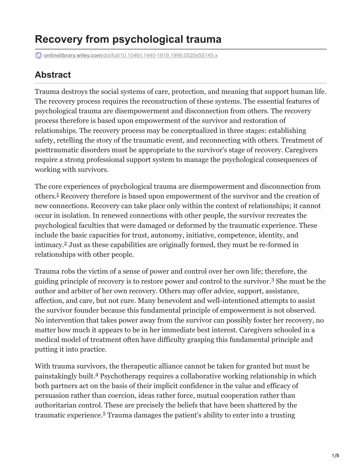# **Recovery from psychological trauma**

**onlinelibrary.wiley.com**[/doi/full/10.1046/j.1440-1819.1998.0520s5S145.x](https://onlinelibrary.wiley.com/doi/full/10.1046/j.1440-1819.1998.0520s5S145.x)

### **Abstract**

Trauma destroys the social systems of care, protection, and meaning that support human life. The recovery process requires the reconstruction of these systems. The essential features of psychological trauma are disempowerment and disconnection from others. The recovery process therefore is based upon empowerment of the survivor and restoration of relationships. The recovery process may be conceptualized in three stages: establishing safety, retelling the story of the traumatic event, and reconnecting with others. Treatment of posttraumatic disorders must be appropriate to the survivor's stage of recovery. Caregivers require a strong professional support system to manage the psychological consequences of working with survivors.

The core experiences of psychological trauma are disempowerment and disconnection from others.<sup>1</sup> Recovery therefore is based upon empowerment of the survivor and the creation of new connections. Recovery can take place only within the context of relationships; it cannot occur in isolation. In renewed connections with other people, the survivor recreates the psychological faculties that were damaged or deformed by the traumatic experience. These include the basic capacities for trust, autonomy, initiative, competence, identity, and  $intimax.$ <sup>2</sup> Just as these capabilities are originally formed, they must be re-formed in relationships with other people.

Trauma robs the victim of a sense of power and control over her own life; therefore, the guiding principle of recovery is to restore power and control to the survivor.<sup>3</sup> She must be the author and arbiter of her own recovery. Others may offer advice, support, assistance, affection, and care, but not cure. Many benevolent and well-intentioned attempts to assist the survivor founder because this fundamental principle of empowerment is not observed. No intervention that takes power away from the survivor can possibly foster her recovery, no matter how much it appears to be in her immediate best interest. Caregivers schooled in a medical model of treatment often have difficulty grasping this fundamental principle and putting it into practice.

With trauma survivors, the therapeutic alliance cannot be taken for granted but must be painstakingly built.<sup>4</sup> Psychotherapy requires a collaborative working relationship in which both partners act on the basis of their implicit confidence in the value and efficacy of persuasion rather than coercion, ideas rather force, mutual cooperation rather than authoritarian control. These are precisely the beliefs that have been shattered by the traumatic experience.<sup>5</sup> Trauma damages the patient's ability to enter into a trusting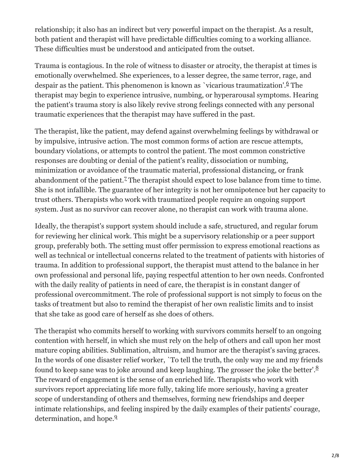relationship; it also has an indirect but very powerful impact on the therapist. As a result, both patient and therapist will have predictable difficulties coming to a working alliance. These difficulties must be understood and anticipated from the outset.

Trauma is contagious. In the role of witness to disaster or atrocity, the therapist at times is emotionally overwhelmed. She experiences, to a lesser degree, the same terror, rage, and despair as the patient. This phenomenon is known as `vicarious traumatization'.<sup>6</sup> The therapist may begin to experience intrusive, numbing, or hyperarousal symptoms. Hearing the patient's trauma story is also likely revive strong feelings connected with any personal traumatic experiences that the therapist may have suffered in the past.

The therapist, like the patient, may defend against overwhelming feelings by withdrawal or by impulsive, intrusive action. The most common forms of action are rescue attempts, boundary violations, or attempts to control the patient. The most common constrictive responses are doubting or denial of the patient's reality, dissociation or numbing, minimization or avoidance of the traumatic material, professional distancing, or frank abandonment of the patient.<sup>7</sup> The therapist should expect to lose balance from time to time. She is not infallible. The guarantee of her integrity is not her omnipotence but her capacity to trust others. Therapists who work with traumatized people require an ongoing support system. Just as no survivor can recover alone, no therapist can work with trauma alone.

Ideally, the therapist's support system should include a safe, structured, and regular forum for reviewing her clinical work. This might be a supervisory relationship or a peer support group, preferably both. The setting must offer permission to express emotional reactions as well as technical or intellectual concerns related to the treatment of patients with histories of trauma. In addition to professional support, the therapist must attend to the balance in her own professional and personal life, paying respectful attention to her own needs. Confronted with the daily reality of patients in need of care, the therapist is in constant danger of professional overcommitment. The role of professional support is not simply to focus on the tasks of treatment but also to remind the therapist of her own realistic limits and to insist that she take as good care of herself as she does of others.

The therapist who commits herself to working with survivors commits herself to an ongoing contention with herself, in which she must rely on the help of others and call upon her most mature coping abilities. Sublimation, altruism, and humor are the therapist's saving graces. In the words of one disaster relief worker, `To tell the truth, the only way me and my friends found to keep sane was to joke around and keep laughing. The grosser the joke the better'.<sup>8</sup> The reward of engagement is the sense of an enriched life. Therapists who work with survivors report appreciating life more fully, taking life more seriously, having a greater scope of understanding of others and themselves, forming new friendships and deeper intimate relationships, and feeling inspired by the daily examples of their patients' courage, determination, and hope.<sup>9</sup>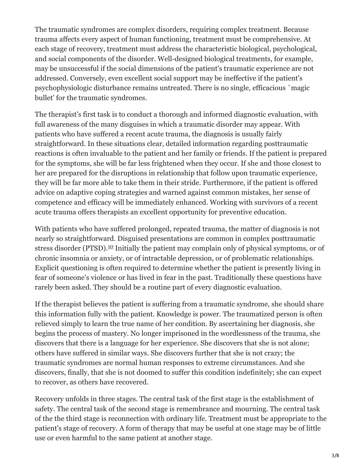The traumatic syndromes are complex disorders, requiring complex treatment. Because trauma affects every aspect of human functioning, treatment must be comprehensive. At each stage of recovery, treatment must address the characteristic biological, psychological, and social components of the disorder. Well-designed biological treatments, for example, may be unsuccessful if the social dimensions of the patient's traumatic experience are not addressed. Conversely, even excellent social support may be ineffective if the patient's psychophysiologic disturbance remains untreated. There is no single, efficacious `magic bullet' for the traumatic syndromes.

The therapist's first task is to conduct a thorough and informed diagnostic evaluation, with full awareness of the many disguises in which a traumatic disorder may appear. With patients who have suffered a recent acute trauma, the diagnosis is usually fairly straightforward. In these situations clear, detailed information regarding posttraumatic reactions is often invaluable to the patient and her family or friends. If the patient is prepared for the symptoms, she will be far less frightened when they occur. If she and those closest to her are prepared for the disruptions in relationship that follow upon traumatic experience, they will be far more able to take them in their stride. Furthermore, if the patient is offered advice on adaptive coping strategies and warned against common mistakes, her sense of competence and efficacy will be immediately enhanced. Working with survivors of a recent acute trauma offers therapists an excellent opportunity for preventive education.

With patients who have suffered prolonged, repeated trauma, the matter of diagnosis is not nearly so straightforward. Disguised presentations are common in complex posttraumatic stress disorder (PTSD).<sup>10</sup> Initially the patient may complain only of physical symptoms, or of chronic insomnia or anxiety, or of intractable depression, or of problematic relationships. Explicit questioning is often required to determine whether the patient is presently living in fear of someone's violence or has lived in fear in the past. Traditionally these questions have rarely been asked. They should be a routine part of every diagnostic evaluation.

If the therapist believes the patient is suffering from a traumatic syndrome, she should share this information fully with the patient. Knowledge is power. The traumatized person is often relieved simply to learn the true name of her condition. By ascertaining her diagnosis, she begins the process of mastery. No longer imprisoned in the wordlessness of the trauma, she discovers that there is a language for her experience. She discovers that she is not alone; others have suffered in similar ways. She discovers further that she is not crazy; the traumatic syndromes are normal human responses to extreme circumstances. And she discovers, finally, that she is not doomed to suffer this condition indefinitely; she can expect to recover, as others have recovered.

Recovery unfolds in three stages. The central task of the first stage is the establishment of safety. The central task of the second stage is remembrance and mourning. The central task of the the third stage is reconnection with ordinary life. Treatment must be appropriate to the patient's stage of recovery. A form of therapy that may be useful at one stage may be of little use or even harmful to the same patient at another stage.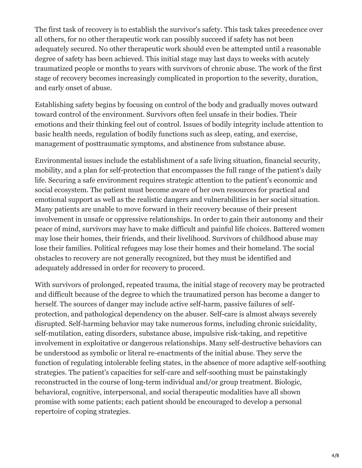The first task of recovery is to establish the survivor's safety. This task takes precedence over all others, for no other therapeutic work can possibly succeed if safety has not been adequately secured. No other therapeutic work should even be attempted until a reasonable degree of safety has been achieved. This initial stage may last days to weeks with acutely traumatized people or months to years with survivors of chronic abuse. The work of the first stage of recovery becomes increasingly complicated in proportion to the severity, duration, and early onset of abuse.

Establishing safety begins by focusing on control of the body and gradually moves outward toward control of the environment. Survivors often feel unsafe in their bodies. Their emotions and their thinking feel out of control. Issues of bodily integrity include attention to basic health needs, regulation of bodily functions such as sleep, eating, and exercise, management of posttraumatic symptoms, and abstinence from substance abuse.

Environmental issues include the establishment of a safe living situation, financial security, mobility, and a plan for self-protection that encompasses the full range of the patient's daily life. Securing a safe environment requires strategic attention to the patient's economic and social ecosystem. The patient must become aware of her own resources for practical and emotional support as well as the realistic dangers and vulnerabilities in her social situation. Many patients are unable to move forward in their recovery because of their present involvement in unsafe or oppressive relationships. In order to gain their autonomy and their peace of mind, survivors may have to make difficult and painful life choices. Battered women may lose their homes, their friends, and their livelihood. Survivors of childhood abuse may lose their families. Political refugees may lose their homes and their homeland. The social obstacles to recovery are not generally recognized, but they must be identified and adequately addressed in order for recovery to proceed.

With survivors of prolonged, repeated trauma, the initial stage of recovery may be protracted and difficult because of the degree to which the traumatized person has become a danger to herself. The sources of danger may include active self-harm, passive failures of selfprotection, and pathological dependency on the abuser. Self-care is almost always severely disrupted. Self-harming behavior may take numerous forms, including chronic suicidality, self-mutilation, eating disorders, substance abuse, impulsive risk-taking, and repetitive involvement in exploitative or dangerous relationships. Many self-destructive behaviors can be understood as symbolic or literal re-enactments of the initial abuse. They serve the function of regulating intolerable feeling states, in the absence of more adaptive self-soothing strategies. The patient's capacities for self-care and self-soothing must be painstakingly reconstructed in the course of long-term individual and/or group treatment. Biologic, behavioral, cognitive, interpersonal, and social therapeutic modalities have all shown promise with some patients; each patient should be encouraged to develop a personal repertoire of coping strategies.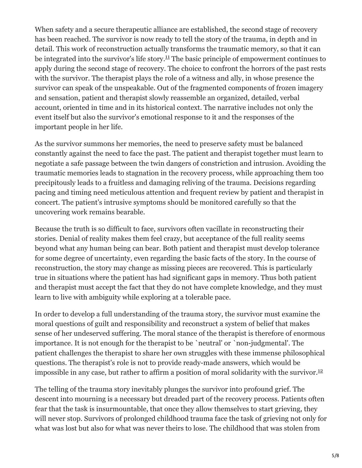When safety and a secure therapeutic alliance are established, the second stage of recovery has been reached. The survivor is now ready to tell the story of the trauma, in depth and in detail. This work of reconstruction actually transforms the traumatic memory, so that it can be integrated into the survivor's life story.<sup>11</sup> The basic principle of empowerment continues to apply during the second stage of recovery. The choice to confront the horrors of the past rests with the survivor. The therapist plays the role of a witness and ally, in whose presence the survivor can speak of the unspeakable. Out of the fragmented components of frozen imagery and sensation, patient and therapist slowly reassemble an organized, detailed, verbal account, oriented in time and in its historical context. The narrative includes not only the event itself but also the survivor's emotional response to it and the responses of the important people in her life.

As the survivor summons her memories, the need to preserve safety must be balanced constantly against the need to face the past. The patient and therapist together must learn to negotiate a safe passage between the twin dangers of constriction and intrusion. Avoiding the traumatic memories leads to stagnation in the recovery process, while approaching them too precipitously leads to a fruitless and damaging reliving of the trauma. Decisions regarding pacing and timing need meticulous attention and frequent review by patient and therapist in concert. The patient's intrusive symptoms should be monitored carefully so that the uncovering work remains bearable.

Because the truth is so difficult to face, survivors often vacillate in reconstructing their stories. Denial of reality makes them feel crazy, but acceptance of the full reality seems beyond what any human being can bear. Both patient and therapist must develop tolerance for some degree of uncertainty, even regarding the basic facts of the story. In the course of reconstruction, the story may change as missing pieces are recovered. This is particularly true in situations where the patient has had significant gaps in memory. Thus both patient and therapist must accept the fact that they do not have complete knowledge, and they must learn to live with ambiguity while exploring at a tolerable pace.

In order to develop a full understanding of the trauma story, the survivor must examine the moral questions of guilt and responsibility and reconstruct a system of belief that makes sense of her undeserved suffering. The moral stance of the therapist is therefore of enormous importance. It is not enough for the therapist to be `neutral' or `non-judgmental'. The patient challenges the therapist to share her own struggles with these immense philosophical questions. The therapist's role is not to provide ready-made answers, which would be impossible in any case, but rather to affirm a position of moral solidarity with the survivor.<sup>12</sup>

The telling of the trauma story inevitably plunges the survivor into profound grief. The descent into mourning is a necessary but dreaded part of the recovery process. Patients often fear that the task is insurmountable, that once they allow themselves to start grieving, they will never stop. Survivors of prolonged childhood trauma face the task of grieving not only for what was lost but also for what was never theirs to lose. The childhood that was stolen from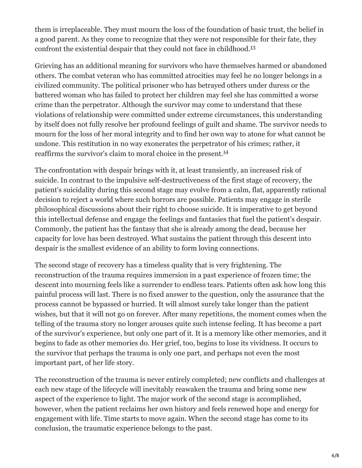them is irreplaceable. They must mourn the loss of the foundation of basic trust, the belief in a good parent. As they come to recognize that they were not responsible for their fate, they confront the existential despair that they could not face in childhood.<sup>13</sup>

Grieving has an additional meaning for survivors who have themselves harmed or abandoned others. The combat veteran who has committed atrocities may feel he no longer belongs in a civilized community. The political prisoner who has betrayed others under duress or the battered woman who has failed to protect her children may feel she has committed a worse crime than the perpetrator. Although the survivor may come to understand that these violations of relationship were committed under extreme circumstances, this understanding by itself does not fully resolve her profound feelings of guilt and shame. The survivor needs to mourn for the loss of her moral integrity and to find her own way to atone for what cannot be undone. This restitution in no way exonerates the perpetrator of his crimes; rather, it reaffirms the survivor's claim to moral choice in the present.<sup>14</sup>

The confrontation with despair brings with it, at least transiently, an increased risk of suicide. In contrast to the impulsive self-destructiveness of the first stage of recovery, the patient's suicidality during this second stage may evolve from a calm, flat, apparently rational decision to reject a world where such horrors are possible. Patients may engage in sterile philosophical discussions about their right to choose suicide. It is imperative to get beyond this intellectual defense and engage the feelings and fantasies that fuel the patient's despair. Commonly, the patient has the fantasy that she is already among the dead, because her capacity for love has been destroyed. What sustains the patient through this descent into despair is the smallest evidence of an ability to form loving connections.

The second stage of recovery has a timeless quality that is very frightening. The reconstruction of the trauma requires immersion in a past experience of frozen time; the descent into mourning feels like a surrender to endless tears. Patients often ask how long this painful process will last. There is no fixed answer to the question, only the assurance that the process cannot be bypassed or hurried. It will almost surely take longer than the patient wishes, but that it will not go on forever. After many repetitions, the moment comes when the telling of the trauma story no longer arouses quite such intense feeling. It has become a part of the survivor's experience, but only one part of it. It is a memory like other memories, and it begins to fade as other memories do. Her grief, too, begins to lose its vividness. It occurs to the survivor that perhaps the trauma is only one part, and perhaps not even the most important part, of her life story.

The reconstruction of the trauma is never entirely completed; new conflicts and challenges at each new stage of the lifecycle will inevitably reawaken the trauma and bring some new aspect of the experience to light. The major work of the second stage is accomplished, however, when the patient reclaims her own history and feels renewed hope and energy for engagement with life. Time starts to move again. When the second stage has come to its conclusion, the traumatic experience belongs to the past.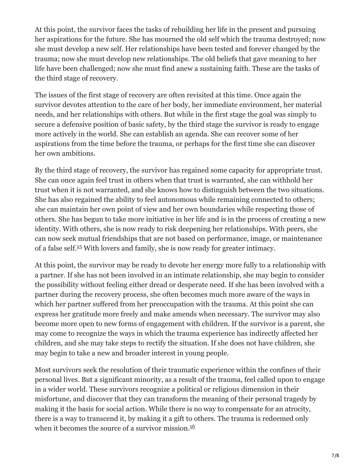At this point, the survivor faces the tasks of rebuilding her life in the present and pursuing her aspirations for the future. She has mourned the old self which the trauma destroyed; now she must develop a new self. Her relationships have been tested and forever changed by the trauma; now she must develop new relationships. The old beliefs that gave meaning to her life have been challenged; now she must find anew a sustaining faith. These are the tasks of the third stage of recovery.

The issues of the first stage of recovery are often revisited at this time. Once again the survivor devotes attention to the care of her body, her immediate environment, her material needs, and her relationships with others. But while in the first stage the goal was simply to secure a defensive position of basic safety, by the third stage the survivor is ready to engage more actively in the world. She can establish an agenda. She can recover some of her aspirations from the time before the trauma, or perhaps for the first time she can discover her own ambitions.

By the third stage of recovery, the survivor has regained some capacity for appropriate trust. She can once again feel trust in others when that trust is warranted, she can withhold her trust when it is not warranted, and she knows how to distinguish between the two situations. She has also regained the ability to feel autonomous while remaining connected to others; she can maintain her own point of view and her own boundaries while respecting those of others. She has begun to take more initiative in her life and is in the process of creating a new identity. With others, she is now ready to risk deepening her relationships. With peers, she can now seek mutual friendships that are not based on performance, image, or maintenance of a false self.<sup>15</sup> With lovers and family, she is now ready for greater intimacy.

At this point, the survivor may be ready to devote her energy more fully to a relationship with a partner. If she has not been involved in an intimate relationship, she may begin to consider the possibility without feeling either dread or desperate need. If she has been involved with a partner during the recovery process, she often becomes much more aware of the ways in which her partner suffered from her preoccupation with the trauma. At this point she can express her gratitude more freely and make amends when necessary. The survivor may also become more open to new forms of engagement with children. If the survivor is a parent, she may come to recognize the ways in which the trauma experience has indirectly affected her children, and she may take steps to rectify the situation. If she does not have children, she may begin to take a new and broader interest in young people.

Most survivors seek the resolution of their traumatic experience within the confines of their personal lives. But a significant minority, as a result of the trauma, feel called upon to engage in a wider world. These survivors recognize a political or religious dimension in their misfortune, and discover that they can transform the meaning of their personal tragedy by making it the basis for social action. While there is no way to compensate for an atrocity, there is a way to transcend it, by making it a gift to others. The trauma is redeemed only when it becomes the source of a survivor mission. 16